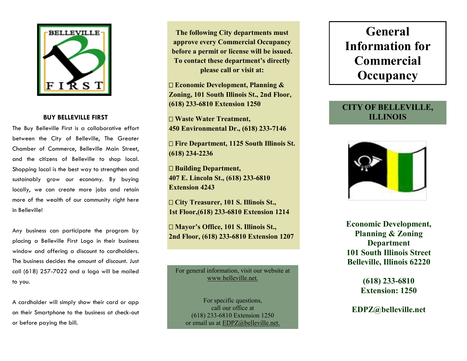

#### **BUY BELLEVILLE FIRST**

The Buy Belleville First is a collaborative effort between the City of Belleville, The Greater Chamber of Commerce, Belleville Main Street, and the citizens of Belleville to shop local. Shopping local is the best way to strengthen and sustainably grow our economy. By buying locally, we can create more jobs and retain more of the wealth of our community right here in Belleville!

Any business can participate the program by placing a Belleville First Logo in their business window and offering a discount to cardholders. The business decides the amount of discount. Just call (618) 257-7022 and a logo will be mailed to you.

A cardholder will simply show their card or app on their Smartphone to the business at check-out or before paying the bill.

**The following City departments must approve every Commercial Occupancy before a permit or license will be issued. To contact these department's directly please call or visit at:**

**Economic Development, Planning & Zoning, 101 South Illinois St., 2nd Floor, (618) 233-6810 Extension 1250**

**Waste Water Treatment, 450 Environmental Dr., (618) 233-7146**

**Fire Department, 1125 South Illinois St. (618) 234-2236**

**Building Department, 407 E. Lincoln St., (618) 233-6810 Extension 4243**

**City Treasurer, 101 S. Illinois St., 1st Floor,(618) 233-6810 Extension 1214**

**Mayor's Office, 101 S. Illinois St., 2nd Floor, (618) 233-6810 Extension 1207**

For general information, visit our website at www.belleville.net.

For specific questions, call our office at (618) 233-6810 Extension 1250 or email us at **EDPZ**@belleville.net.

# **General Information for Commercial Occupancy**

### **CITY OF BELLEVILLE, ILLINOIS**



**Economic Development, Planning & Zoning Department 101 South Illinois Street Belleville, Illinois 62220**

> **(618) 233-6810 Extension: 1250**

**EDPZ@belleville.net**